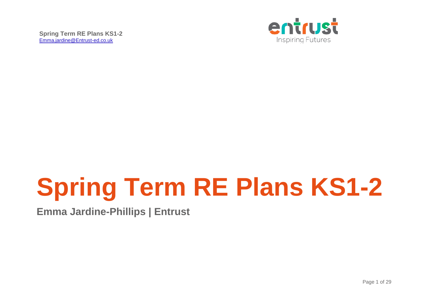**Spring Term RE Plans KS1-2** [Emma.jardine@Entrust-ed.co.uk](mailto:Emma.jardine@Entrust-ed.co.uk)



# **Spring Term RE Plans KS1-2**

**Emma Jardine-Phillips | Entrust**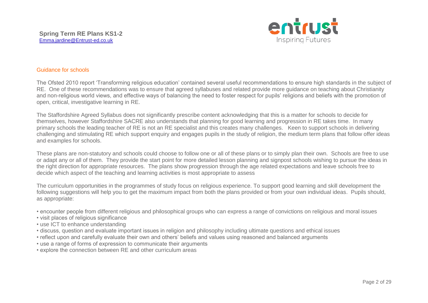

#### Guidance for schools

The Ofsted 2010 report 'Transforming religious education' contained several useful recommendations to ensure high standards in the subject of RE. One of these recommendations was to ensure that agreed syllabuses and related provide more guidance on teaching about Christianity and non-religious world views, and effective ways of balancing the need to foster respect for pupils' religions and beliefs with the promotion of open, critical, investigative learning in RE.

The Staffordshire Agreed Syllabus does not significantly prescribe content acknowledging that this is a matter for schools to decide for themselves, however Staffordshire SACRE also understands that planning for good learning and progression in RE takes time. In many primary schools the leading teacher of RE is not an RE specialist and this creates many challenges. Keen to support schools in delivering challenging and stimulating RE which support enquiry and engages pupils in the study of religion, the medium term plans that follow offer ideas and examples for schools.

These plans are non-statutory and schools could choose to follow one or all of these plans or to simply plan their own. Schools are free to use or adapt any or all of them. They provide the start point for more detailed lesson planning and signpost schools wishing to pursue the ideas in the right direction for appropriate resources. The plans show progression through the age related expectations and leave schools free to decide which aspect of the teaching and learning activities is most appropriate to assess

The curriculum opportunities in the programmes of study focus on religious experience. To support good learning and skill development the following suggestions will help you to get the maximum impact from both the plans provided or from your own individual ideas. Pupils should, as appropriate:

- encounter people from different religious and philosophical groups who can express a range of convictions on religious and moral issues
- visit places of religious significance
- use ICT to enhance understanding
- discuss, question and evaluate important issues in religion and philosophy including ultimate questions and ethical issues
- reflect upon and carefully evaluate their own and others' beliefs and values using reasoned and balanced arguments
- use a range of forms of expression to communicate their arguments
- explore the connection between RE and other curriculum areas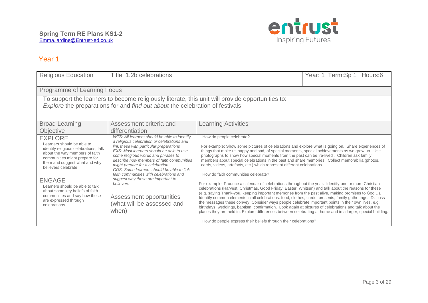

| <b>Religious Education</b>                                                                                                                                                                                                                                                                                                                                                        | Title: 1.2b celebrations                                                                                                                                                                                                                                                                                                                                                                                                                                                                                                |                                                                                                                                                                                                                                                                                                                                                                                                                                                                                                                                                                                                                                                                                                                                                                                                                                                                                                                                                                                                                                                                                                                                                                                                                                                                                                                                                                                        | Year: 1 Term:Sp 1<br>Hours:6 |  |
|-----------------------------------------------------------------------------------------------------------------------------------------------------------------------------------------------------------------------------------------------------------------------------------------------------------------------------------------------------------------------------------|-------------------------------------------------------------------------------------------------------------------------------------------------------------------------------------------------------------------------------------------------------------------------------------------------------------------------------------------------------------------------------------------------------------------------------------------------------------------------------------------------------------------------|----------------------------------------------------------------------------------------------------------------------------------------------------------------------------------------------------------------------------------------------------------------------------------------------------------------------------------------------------------------------------------------------------------------------------------------------------------------------------------------------------------------------------------------------------------------------------------------------------------------------------------------------------------------------------------------------------------------------------------------------------------------------------------------------------------------------------------------------------------------------------------------------------------------------------------------------------------------------------------------------------------------------------------------------------------------------------------------------------------------------------------------------------------------------------------------------------------------------------------------------------------------------------------------------------------------------------------------------------------------------------------------|------------------------------|--|
| <b>Programme of Learning Focus</b>                                                                                                                                                                                                                                                                                                                                                |                                                                                                                                                                                                                                                                                                                                                                                                                                                                                                                         |                                                                                                                                                                                                                                                                                                                                                                                                                                                                                                                                                                                                                                                                                                                                                                                                                                                                                                                                                                                                                                                                                                                                                                                                                                                                                                                                                                                        |                              |  |
| To support the learners to become religiously literate, this unit will provide opportunities to:<br>Explore the preparations for and find out about the celebration of festivals                                                                                                                                                                                                  |                                                                                                                                                                                                                                                                                                                                                                                                                                                                                                                         |                                                                                                                                                                                                                                                                                                                                                                                                                                                                                                                                                                                                                                                                                                                                                                                                                                                                                                                                                                                                                                                                                                                                                                                                                                                                                                                                                                                        |                              |  |
| <b>Broad Learning</b><br>Objective                                                                                                                                                                                                                                                                                                                                                | Assessment criteria and<br>differentiation                                                                                                                                                                                                                                                                                                                                                                                                                                                                              | <b>Learning Activities</b>                                                                                                                                                                                                                                                                                                                                                                                                                                                                                                                                                                                                                                                                                                                                                                                                                                                                                                                                                                                                                                                                                                                                                                                                                                                                                                                                                             |                              |  |
| <b>EXPLORE</b><br>Learners should be able to<br>identify religious celebrations, talk<br>about the way members of faith<br>communities might prepare for<br>them and suggest what and why<br>believers celebrate<br><b>ENGAGE</b><br>Learners should be able to talk<br>about some key beliefs of faith<br>communities and say how these<br>are expressed through<br>celebrations | WTS: All learners should be able to identify<br>a religious celebration or celebrations and<br>link these with particular preparations<br>EXS: Most learners should be able to use<br>some religious words and phrases to<br>describe how members of faith communities<br>might prepare for a celebration<br>GDS: Some learners should be able to link<br>faith communities with celebrations and<br>suggest why these are important to<br>believers<br>Assessment opportunities<br>(what will be assessed and<br>when) | How do people celebrate?<br>For example: Show some pictures of celebrations and explore what is going on. Share experiences of<br>things that make us happy and sad, of special moments, special achievements as we grow up. Use<br>photographs to show how special moments from the past can be 're-lived'. Children ask family<br>members about special celebrations in the past and share memories. Collect memorabilia (photos,<br>cards, videos, artefacts, etc.) which represent different celebrations.<br>How do faith communities celebrate?<br>For example: Produce a calendar of celebrations throughout the year. Identify one or more Christian<br>celebrations (Harvest, Christmas, Good Friday, Easter, Whitsun) and talk about the reasons for these<br>(e.g. saying Thank-you, keeping important memories from the past alive, making promises to God).<br>Identify common elements in all celebrations: food, clothes, cards, presents, family gatherings. Discuss<br>the messages these convey. Consider ways people celebrate important points in their own lives, e.g.<br>birthdays, weddings, baptism, confirmation. Look again at pictures of celebrations and talk about the<br>places they are held in. Explore differences between celebrating at home and in a larger, special building.<br>How do people express their beliefs through their celebrations? |                              |  |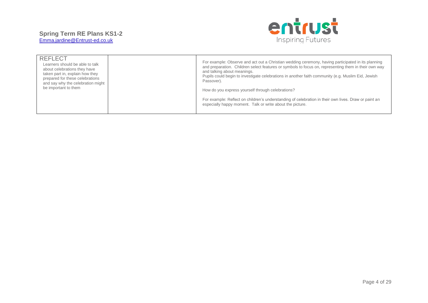

| <b>REFLECT</b><br>Learners should be able to talk<br>about celebrations they have<br>and talking about meanings.<br>taken part in, explain how they<br>prepared for these celebrations<br>Passover).<br>and say why the celebration might<br>be important to them | For example: Observe and act out a Christian wedding ceremony, having participated in its planning<br>and preparation. Children select features or symbols to focus on, representing them in their own way<br>Pupils could begin to investigate celebrations in another faith community (e.g. Muslim Eid, Jewish<br>How do you express yourself through celebrations?<br>For example: Reflect on children's understanding of celebration in their own lives. Draw or paint an<br>especially happy moment. Talk or write about the picture. |
|-------------------------------------------------------------------------------------------------------------------------------------------------------------------------------------------------------------------------------------------------------------------|--------------------------------------------------------------------------------------------------------------------------------------------------------------------------------------------------------------------------------------------------------------------------------------------------------------------------------------------------------------------------------------------------------------------------------------------------------------------------------------------------------------------------------------------|
|-------------------------------------------------------------------------------------------------------------------------------------------------------------------------------------------------------------------------------------------------------------------|--------------------------------------------------------------------------------------------------------------------------------------------------------------------------------------------------------------------------------------------------------------------------------------------------------------------------------------------------------------------------------------------------------------------------------------------------------------------------------------------------------------------------------------------|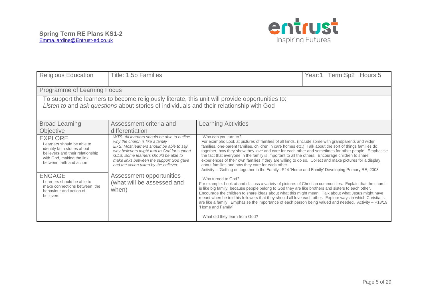

| <b>Religious Education</b>                                                                                                                                                                   | Title: 1.5b Families                                                                                                                                                                                                                                                                                 |                                                                                                                                                                                                                                                                                                                                                                                                                                                                                                                                                                                                                                                                                          |  | Year:1 Term:Sp2 | Hours:5 |
|----------------------------------------------------------------------------------------------------------------------------------------------------------------------------------------------|------------------------------------------------------------------------------------------------------------------------------------------------------------------------------------------------------------------------------------------------------------------------------------------------------|------------------------------------------------------------------------------------------------------------------------------------------------------------------------------------------------------------------------------------------------------------------------------------------------------------------------------------------------------------------------------------------------------------------------------------------------------------------------------------------------------------------------------------------------------------------------------------------------------------------------------------------------------------------------------------------|--|-----------------|---------|
| Programme of Learning Focus                                                                                                                                                                  |                                                                                                                                                                                                                                                                                                      |                                                                                                                                                                                                                                                                                                                                                                                                                                                                                                                                                                                                                                                                                          |  |                 |         |
| To support the learners to become religiously literate, this unit will provide opportunities to:<br>Listen to and ask questions about stories of individuals and their relationship with God |                                                                                                                                                                                                                                                                                                      |                                                                                                                                                                                                                                                                                                                                                                                                                                                                                                                                                                                                                                                                                          |  |                 |         |
| <b>Broad Learning</b><br>Objective                                                                                                                                                           | Assessment criteria and<br>differentiation                                                                                                                                                                                                                                                           | <b>Learning Activities</b>                                                                                                                                                                                                                                                                                                                                                                                                                                                                                                                                                                                                                                                               |  |                 |         |
| <b>EXPLORE</b><br>Learners should be able to<br>identify faith stories about<br>believers and their relationship<br>with God, making the link<br>between faith and action                    | WTS: All learners should be able to outline<br>why the church is like a family<br>EXS: Most learners should be able to say<br>why believers might turn to God for support<br>GDS: Some learners should be able to<br>make links between the support God gave<br>and the action taken by the believer | Who can you turn to?<br>For example: Look at pictures of families of all kinds. (Include some with grandparents and wider<br>families, one-parent families, children in care homes etc.) Talk about the sort of things families do<br>together, how they show they love and care for each other and sometimes for other people. Emphasise<br>the fact that everyone in the family is important to all the others. Encourage children to share<br>experiences of their own families if they are willing to do so. Collect and make pictures for a display<br>about families and how they care for each other.                                                                             |  |                 |         |
| <b>ENGAGE</b><br>Learners should be able to<br>make connections between the<br>behaviour and action of<br>believers                                                                          | Assessment opportunities<br>(what will be assessed and<br>when)                                                                                                                                                                                                                                      | Activity – 'Getting on together in the Family'. P14 'Home and Family' Developing Primary RE, 2003<br>Who turned to God?<br>For example: Look at and discuss a variety of pictures of Christian communities. Explain that the church<br>is like big family: because people belong to God they are like brothers and sisters to each other.<br>Encourage the children to share ideas about what this might mean. Talk about what Jesus might have<br>meant when he told his followers that they should all love each other. Explore ways in which Christians<br>are like a family. Emphasise the importance of each person being valued and needed. Activity - P18/19<br>'Home and Family' |  |                 |         |
|                                                                                                                                                                                              |                                                                                                                                                                                                                                                                                                      | What did they learn from God?                                                                                                                                                                                                                                                                                                                                                                                                                                                                                                                                                                                                                                                            |  |                 |         |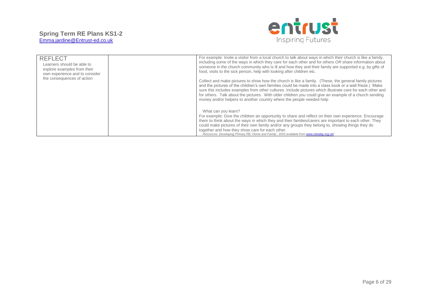

| <b>REFLECT</b><br>Learners should be able to<br>explore examples from their<br>own experience and to consider<br>the consequences of action | For example: Invite a visitor from a local church to talk about ways in which their church is like a family,<br>including some of the ways in which they care for each other and for others OR share information about<br>someone in the church community who is ill and how they and their family are supported e.g. by gifts of<br>food, visits to the sick person, help with looking after children etc.<br>Collect and make pictures to show how the church is like a family. (These, the general family pictures<br>and the pictures of the children's own families could be made into a class book or a wall frieze.) Make |
|---------------------------------------------------------------------------------------------------------------------------------------------|----------------------------------------------------------------------------------------------------------------------------------------------------------------------------------------------------------------------------------------------------------------------------------------------------------------------------------------------------------------------------------------------------------------------------------------------------------------------------------------------------------------------------------------------------------------------------------------------------------------------------------|
|                                                                                                                                             | sure this includes examples from other cultures. Include pictures which illustrate care for each other and<br>for others. Talk about the pictures. With older children you could give an example of a church sending<br>money and/or helpers to another country where the people needed help                                                                                                                                                                                                                                                                                                                                     |
|                                                                                                                                             | What can you learn?                                                                                                                                                                                                                                                                                                                                                                                                                                                                                                                                                                                                              |
|                                                                                                                                             | For example: Give the children an opportunity to share and reflect on their own experience. Encourage<br>them to think about the ways in which they and their families/carers are important to each other. They                                                                                                                                                                                                                                                                                                                                                                                                                  |
|                                                                                                                                             | could make pictures of their own family and/or any groups they belong to, showing things they do                                                                                                                                                                                                                                                                                                                                                                                                                                                                                                                                 |
|                                                                                                                                             | together and how they show care for each other.<br>Resources: Developing Primary RE; Home and Family', 2003 available from www.retoday.org.uk/                                                                                                                                                                                                                                                                                                                                                                                                                                                                                   |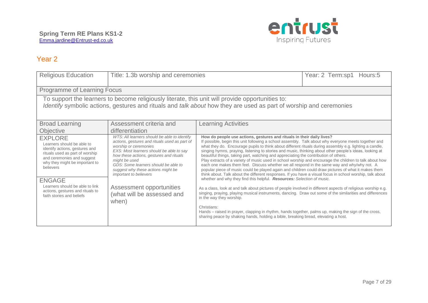

| <b>Religious Education</b>                                                                                                                                                                                             | Title: 1.3b worship and ceremonies                                                                                                                                                                                                           |                                                                                                                                                                                                                                                                                                                                                                                                                                                                                                                                                                                                                                                                                                                                          | Year: 2 Term:sp1<br>Hours:5 |  |  |  |
|------------------------------------------------------------------------------------------------------------------------------------------------------------------------------------------------------------------------|----------------------------------------------------------------------------------------------------------------------------------------------------------------------------------------------------------------------------------------------|------------------------------------------------------------------------------------------------------------------------------------------------------------------------------------------------------------------------------------------------------------------------------------------------------------------------------------------------------------------------------------------------------------------------------------------------------------------------------------------------------------------------------------------------------------------------------------------------------------------------------------------------------------------------------------------------------------------------------------------|-----------------------------|--|--|--|
|                                                                                                                                                                                                                        | <b>Programme of Learning Focus</b>                                                                                                                                                                                                           |                                                                                                                                                                                                                                                                                                                                                                                                                                                                                                                                                                                                                                                                                                                                          |                             |  |  |  |
| To support the learners to become religiously literate, this unit will provide opportunities to:<br>Identify symbolic actions, gestures and rituals and talk about how they are used as part of worship and ceremonies |                                                                                                                                                                                                                                              |                                                                                                                                                                                                                                                                                                                                                                                                                                                                                                                                                                                                                                                                                                                                          |                             |  |  |  |
| <b>Broad Learning</b><br><b>Objective</b>                                                                                                                                                                              | Assessment criteria and<br>differentiation                                                                                                                                                                                                   | <b>Learning Activities</b>                                                                                                                                                                                                                                                                                                                                                                                                                                                                                                                                                                                                                                                                                                               |                             |  |  |  |
| <b>EXPLORE</b><br>Learners should be able to                                                                                                                                                                           | WTS: All learners should be able to identify<br>actions, gestures and rituals used as part of                                                                                                                                                | How do people use actions, gestures and rituals in their daily lives?<br>If possible, begin this unit following a school assembly. Talk about why everyone meets together and                                                                                                                                                                                                                                                                                                                                                                                                                                                                                                                                                            |                             |  |  |  |
| identify actions, gestures and<br>rituals used as part of worship<br>and ceremonies and suggest<br>why they might be important to<br>believers                                                                         | worship or ceremonies<br>EXS: Most learners should be able to say<br>how these actions, gestures and rituals<br>might be used<br>GDS: Some learners should be able to<br>suggest why these actions might be<br><i>important to believers</i> | what they do. Encourage pupils to think about different rituals during assembly e.g. lighting a candle,<br>singing hymns, praying, listening to stories and music, thinking about other people's ideas, looking at<br>beautiful things, taking part, watching and appreciating the contribution of others.<br>Play extracts of a variety of music used in school worship and encourage the children to talk about how<br>each one makes them feel. Discuss whether we all respond in the same way and why/why not. A<br>popular piece of music could be played again and children could draw pictures of what it makes them<br>think about. Talk about the different responses. If you have a visual focus in school worship, talk about |                             |  |  |  |
| <b>ENGAGE</b><br>Learners should be able to link<br>actions, gestures and rituals to<br>faith stories and beliefs                                                                                                      | Assessment opportunities<br>(what will be assessed and<br>when)                                                                                                                                                                              | whether and why they find this helpful. <b>Resources:</b> Selection of music.<br>As a class, look at and talk about pictures of people involved in different aspects of religious worship e.g.<br>singing, praying, playing musical instruments, dancing. Draw out some of the similarities and differences<br>in the way they worship.                                                                                                                                                                                                                                                                                                                                                                                                  |                             |  |  |  |
|                                                                                                                                                                                                                        |                                                                                                                                                                                                                                              | Christians:<br>Hands - raised in prayer, clapping in rhythm, hands together, palms up, making the sign of the cross,<br>sharing peace by shaking hands, holding a bible, breaking bread, elevating a host.                                                                                                                                                                                                                                                                                                                                                                                                                                                                                                                               |                             |  |  |  |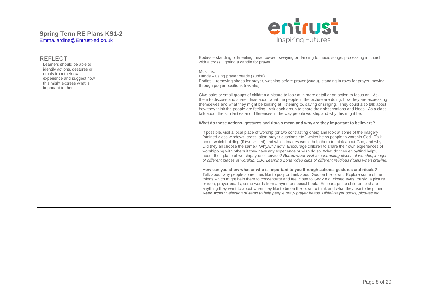#### **Spring Term RE Plans KS1-2** [Emma.jardine@Entrust-ed.co.uk](mailto:Emma.jardine@Entrust-ed.co.uk)



| <b>REFLECT</b><br>Learners should be able to<br>identify actions, gestures or<br>rituals from their own<br>experience and suggest how<br>this might express what is<br>important to them | Bodies - standing or kneeling, head bowed, swaying or dancing to music songs, processing in church<br>with a cross, lighting a candle for prayer.<br>Muslims:<br>Hands – using prayer beads (subha)<br>Bodies – removing shoes for prayer, washing before prayer (wudu), standing in rows for prayer, moving<br>through prayer positions (rak'ahs)                                                                                                                                                                                                                                                                                                                                                                                                    |
|------------------------------------------------------------------------------------------------------------------------------------------------------------------------------------------|-------------------------------------------------------------------------------------------------------------------------------------------------------------------------------------------------------------------------------------------------------------------------------------------------------------------------------------------------------------------------------------------------------------------------------------------------------------------------------------------------------------------------------------------------------------------------------------------------------------------------------------------------------------------------------------------------------------------------------------------------------|
|                                                                                                                                                                                          | Give pairs or small groups of children a picture to look at in more detail or an action to focus on. Ask<br>them to discuss and share ideas about what the people in the picture are doing, how they are expressing<br>themselves and what they might be looking at, listening to, saying or singing. They could also talk about<br>how they think the people are feeling. Ask each group to share their observations and ideas. As a class,<br>talk about the similarities and differences in the way people worship and why this might be.                                                                                                                                                                                                          |
|                                                                                                                                                                                          | What do these actions, gestures and rituals mean and why are they important to believers?                                                                                                                                                                                                                                                                                                                                                                                                                                                                                                                                                                                                                                                             |
|                                                                                                                                                                                          | If possible, visit a local place of worship (or two contrasting ones) and look at some of the imagery<br>(stained glass windows, cross, altar, prayer cushions etc.) which helps people to worship God. Talk<br>about which building (if two visited) and which images would help them to think about God, and why.<br>Did they all choose the same? Why/why not? Encourage children to share their own experiences of<br>worshipping with others if they have any experience or wish do so. What do they enjoy/find helpful<br>about their place of worship/type of service? Resources: Visit to contrasting places of worship, images<br>of different places of worship, BBC Learning Zone video clips of different religious rituals when praying. |
|                                                                                                                                                                                          | How can you show what or who is important to you through actions, gestures and rituals?<br>Talk about why people sometimes like to pray or think about God on their own. Explore some of the<br>things which might help them to concentrate and feel close to God? e.g. closed eyes, music, a picture<br>or icon, prayer beads, some words from a hymn or special book. Encourage the children to share<br>anything they want to about when they like to be on their own to think and what they use to help them.<br>Resources: Selection of items to help people pray- prayer beads, Bible/Prayer books, pictures etc.                                                                                                                               |
|                                                                                                                                                                                          |                                                                                                                                                                                                                                                                                                                                                                                                                                                                                                                                                                                                                                                                                                                                                       |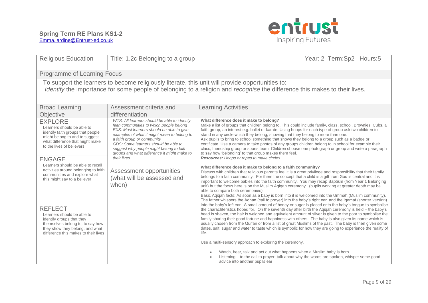

| <b>Religious Education</b>                                                                                                                                                                                                     | Title: 1.2c Belonging to a group                                                                                                                                                                                                                                                                                                                                     |                                                                                                                                                                                                                                                                                                                                                                                                                                                                                                                                                                                                                                                                                                                                                                                                                                                                              | Year: 2 Term:Sp2 Hours:5 |  |
|--------------------------------------------------------------------------------------------------------------------------------------------------------------------------------------------------------------------------------|----------------------------------------------------------------------------------------------------------------------------------------------------------------------------------------------------------------------------------------------------------------------------------------------------------------------------------------------------------------------|------------------------------------------------------------------------------------------------------------------------------------------------------------------------------------------------------------------------------------------------------------------------------------------------------------------------------------------------------------------------------------------------------------------------------------------------------------------------------------------------------------------------------------------------------------------------------------------------------------------------------------------------------------------------------------------------------------------------------------------------------------------------------------------------------------------------------------------------------------------------------|--------------------------|--|
| Programme of Learning Focus                                                                                                                                                                                                    |                                                                                                                                                                                                                                                                                                                                                                      |                                                                                                                                                                                                                                                                                                                                                                                                                                                                                                                                                                                                                                                                                                                                                                                                                                                                              |                          |  |
| To support the learners to become religiously literate, this unit will provide opportunities to:<br>Identify the importance for some people of belonging to a religion and recognise the difference this makes to their lives. |                                                                                                                                                                                                                                                                                                                                                                      |                                                                                                                                                                                                                                                                                                                                                                                                                                                                                                                                                                                                                                                                                                                                                                                                                                                                              |                          |  |
| <b>Broad Learning</b>                                                                                                                                                                                                          | Assessment criteria and                                                                                                                                                                                                                                                                                                                                              | Learning Activities                                                                                                                                                                                                                                                                                                                                                                                                                                                                                                                                                                                                                                                                                                                                                                                                                                                          |                          |  |
| Objective                                                                                                                                                                                                                      | differentiation                                                                                                                                                                                                                                                                                                                                                      |                                                                                                                                                                                                                                                                                                                                                                                                                                                                                                                                                                                                                                                                                                                                                                                                                                                                              |                          |  |
| <b>EXPLORE</b><br>Learners should be able to<br>identify faith groups that people<br>might belong to and to suggest<br>what difference that might make<br>to the lives of believers<br><b>ENGAGE</b>                           | WTS: All learners should be able to identify<br>faith communities to which people belong<br>EXS: Most learners should be able to give<br>examples of what it might mean to belong to<br>a faith group or community<br>GDS: Some learners should be able to<br>suggest why people might belong to faith<br>groups and what difference it might make to<br>their lives | What difference does it make to belong?<br>Make a list of groups that children belong to. This could include family, class, school, Brownies, Cubs, a<br>faith group, an interest e.g. ballet or karate. Using hoops for each type of group ask two children to<br>stand in any circle which they belong, showing that they belong to more than one.<br>Ask pupils to bring to school something that shows they belong to a group such as a badge or<br>certificate. Use a camera to take photos of any groups children belong to in school for example their<br>class, friendship group or sports team. Children choose one photograph or group and write a paragraph<br>to say how 'belonging' to that group makes them feel.<br>Resources: Hoops or ropes to make circles.                                                                                                |                          |  |
| Learners should be able to recall<br>activities around belonging to faith<br>communities and explore what<br>this might say to a believer                                                                                      | Assessment opportunities<br>(what will be assessed and<br>when)                                                                                                                                                                                                                                                                                                      | What difference does it make to belong to a faith community?<br>Discuss with children that religious parents feel it is a great privilege and responsibility that their family<br>belongs to a faith community. For them the concept that a child is a gift from God is central and it is<br>important to welcome babies into the faith community. You may recap Baptism (from Year 1 Belonging<br>unit) but the focus here is on the Muslim Aqiqah ceremony. (pupils working at greater depth may be<br>able to compare both ceremonies).<br>Basic Agigah facts: As soon as a baby is born into it is welcomed into the Ummah. (Muslim community).<br>The father whispers the Adhan (call to prayer) into the baby's right ear and the Iqamat (shorter version)<br>into the baby's left ear. A small amount of honey or sugar is placed onto the baby's tongue to symbolise |                          |  |
| <b>REFLECT</b><br>Learners should be able to<br>identify groups that they<br>themselves belong to, to say how<br>they show they belong, and what<br>difference this makes to their lives                                       |                                                                                                                                                                                                                                                                                                                                                                      | the charachteristics hoped for. On the seventh day after birth the Agigah ceremony is held – the baby's<br>head is shaven, the hair is weighed and equivalent amount of silver is given to the poor to symbolise the<br>family sharing their good fortune and happiness with others. The baby is also given its name which is<br>usually chosen from the Qur'an or from a list of great Muslims of the past. The baby is then given some<br>dates, salt, sugar and water to taste which is symbolic for how they are going to experience the reality of<br>life.                                                                                                                                                                                                                                                                                                             |                          |  |
|                                                                                                                                                                                                                                |                                                                                                                                                                                                                                                                                                                                                                      | Use a multi-sensory approach to exploring the ceremony.<br>Watch, hear, talk and act out what happens when a Muslim baby is born.<br>Listening – to the call to prayer, talk about why the words are spoken, whisper some good<br>advice into another pupils ear                                                                                                                                                                                                                                                                                                                                                                                                                                                                                                                                                                                                             |                          |  |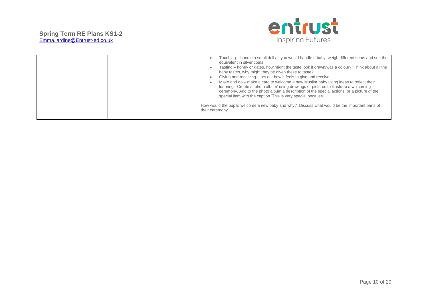

|  | Touching – handle a small doll as you would handle a baby, weigh different items and see the<br>equivalent in silver coins<br>Tasting – honey or dates, how might the taste look if drawn/was a colour? Think about all the<br>baby tastes, why might they be given these to taste?<br>Giving and receiving – act out how it feels to give and receive<br>Make and do – make a card to welcome a new Muslim baby using ideas to reflect their<br>learning. Create a 'photo album' using drawings or pictures to illustrate a welcoming<br>ceremony. Add to the photo album a description of the special actions, or a picture of the<br>special item with the caption 'This is very special because'<br>How would the pupils welcome a new baby and why? Discuss what would be the important parts of<br>their ceremony. |
|--|--------------------------------------------------------------------------------------------------------------------------------------------------------------------------------------------------------------------------------------------------------------------------------------------------------------------------------------------------------------------------------------------------------------------------------------------------------------------------------------------------------------------------------------------------------------------------------------------------------------------------------------------------------------------------------------------------------------------------------------------------------------------------------------------------------------------------|
|--|--------------------------------------------------------------------------------------------------------------------------------------------------------------------------------------------------------------------------------------------------------------------------------------------------------------------------------------------------------------------------------------------------------------------------------------------------------------------------------------------------------------------------------------------------------------------------------------------------------------------------------------------------------------------------------------------------------------------------------------------------------------------------------------------------------------------------|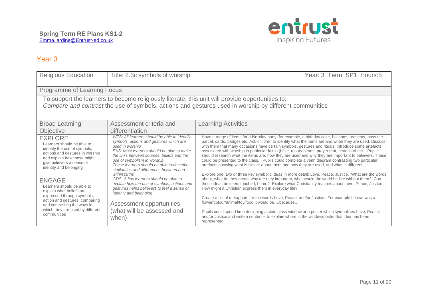

| <b>Religious Education</b>                                                                                                                                                                                             | Title: 2.3c symbols of worship                                                                                                                                                                                                                                                                                                                                                                                                         |                                                                                                                                                                                                                                                                                                                                                                                                                                                                                                                                                                                                                                                                                                                                                                                                                                                                                                                                                                                                                                                            | Year: 3 Term: SP1 Hours: 5 |  |
|------------------------------------------------------------------------------------------------------------------------------------------------------------------------------------------------------------------------|----------------------------------------------------------------------------------------------------------------------------------------------------------------------------------------------------------------------------------------------------------------------------------------------------------------------------------------------------------------------------------------------------------------------------------------|------------------------------------------------------------------------------------------------------------------------------------------------------------------------------------------------------------------------------------------------------------------------------------------------------------------------------------------------------------------------------------------------------------------------------------------------------------------------------------------------------------------------------------------------------------------------------------------------------------------------------------------------------------------------------------------------------------------------------------------------------------------------------------------------------------------------------------------------------------------------------------------------------------------------------------------------------------------------------------------------------------------------------------------------------------|----------------------------|--|
| Programme of Learning Focus                                                                                                                                                                                            |                                                                                                                                                                                                                                                                                                                                                                                                                                        |                                                                                                                                                                                                                                                                                                                                                                                                                                                                                                                                                                                                                                                                                                                                                                                                                                                                                                                                                                                                                                                            |                            |  |
| To support the learners to become religiously literate, this unit will provide opportunities to:<br>Compare and contrast the use of symbols, actions and gestures used in worship by different communities             |                                                                                                                                                                                                                                                                                                                                                                                                                                        |                                                                                                                                                                                                                                                                                                                                                                                                                                                                                                                                                                                                                                                                                                                                                                                                                                                                                                                                                                                                                                                            |                            |  |
| <b>Broad Learning</b><br><b>Objective</b>                                                                                                                                                                              | Assessment criteria and<br>differentiation                                                                                                                                                                                                                                                                                                                                                                                             | <b>Learning Activities</b>                                                                                                                                                                                                                                                                                                                                                                                                                                                                                                                                                                                                                                                                                                                                                                                                                                                                                                                                                                                                                                 |                            |  |
| <b>EXPLORE</b><br>Learners should be able to<br>identify the use of symbols,<br>actions and gestures in worship<br>and explain how these might<br>give believers a sense of<br>identity and belonging<br><b>ENGAGE</b> | WTS: All learners should be able to identify<br>symbols, actions and gestures which are<br>used in worship<br>EXS: Most learners should be able to make<br>the links between sources, beliefs and the<br>use of symbolism in worship<br>These learners should be able to describe<br>similarities and differences between and<br>within faiths<br>GDS: A few learners should be able to<br>explain how the use of symbols, actions and | Have a range of items for a birthday party, for example, a birthday cake, balloons, presents, pass the<br>parcel, cards, badges etc. Ask children to identify what the items are and when they are used. Discuss<br>with them that many occasions have certain symbols, gestures and rituals. Introduce some artefacts<br>associated with worship in particular faiths (bible, rosary beads, prayer mat, headscarf etc Pupils<br>should research what the items are, how they are used and why they are important to believers. These<br>could be presented to the class. Pupils could complete a venn diagram contrasting two particular<br>artefacts showing what is similar about them and how they are used, and what is different.<br>Explore one, two or three key symbolic ideas in more detail: Love, Peace, Justice. What are the words<br>about, what do they mean, why are they important, what would the world be like without them? Can<br>these ideas be seen, touched, heard? Explore what Christianity teaches about Love, Peace, Justice. |                            |  |
| Learners should be able to<br>explain what beliefs are<br>expressed through symbols,<br>action and gestures, comparing<br>and contrasting the ways in<br>which they are used by different<br>communities               | gestures helps believers to feel a sense of<br><i>identity and belonging</i><br>Assessment opportunities<br>(what will be assessed and<br>when)                                                                                                                                                                                                                                                                                        | How might a Christian express them in everyday life?<br>Create a list of metaphors for the words Love, Peace, and/or Justice. For example If Love was a<br>flower/colour/animal/toy/food it would bebecause<br>Pupils could spend time designing a stain glass window or a poster which symbolises Love, Peace,<br>and/or Justice and write a sentence to explain where in the window/poster that idea has been<br>represented.                                                                                                                                                                                                                                                                                                                                                                                                                                                                                                                                                                                                                            |                            |  |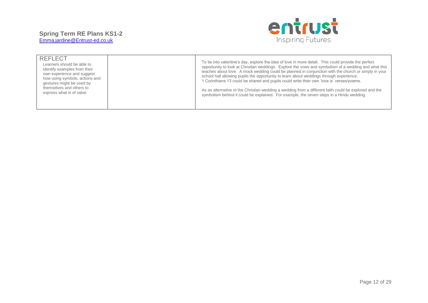

| <b>REFLECT</b><br>Learners should be able to<br>identify examples from their<br>own experience and suggest<br>how using symbols, actions and<br>gestures might be used by<br>themselves and others to<br>express what is of value | To tie into valentine's day, explore the idea of love in more detail. This could provide the perfect<br>opportunity to look at Christian weddings. Explore the vows and symbolism of a wedding and what this<br>teaches about love. A mock wedding could be planned in conjunction with the church or simply in your<br>school hall allowing pupils the opportunity to learn about weddings through experience.<br>1 Corinthians 13 could be shared and pupils could write their own 'love is' verses/poems.<br>As an alternative to the Christian wedding a wedding from a different faith could be explored and the<br>symbolism behind it could be explained. For example, the seven steps in a Hindu wedding. |
|-----------------------------------------------------------------------------------------------------------------------------------------------------------------------------------------------------------------------------------|-------------------------------------------------------------------------------------------------------------------------------------------------------------------------------------------------------------------------------------------------------------------------------------------------------------------------------------------------------------------------------------------------------------------------------------------------------------------------------------------------------------------------------------------------------------------------------------------------------------------------------------------------------------------------------------------------------------------|
|-----------------------------------------------------------------------------------------------------------------------------------------------------------------------------------------------------------------------------------|-------------------------------------------------------------------------------------------------------------------------------------------------------------------------------------------------------------------------------------------------------------------------------------------------------------------------------------------------------------------------------------------------------------------------------------------------------------------------------------------------------------------------------------------------------------------------------------------------------------------------------------------------------------------------------------------------------------------|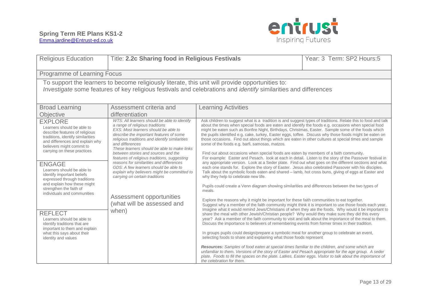

| <b>Religious Education</b>                                                                                                                                                                                                                                                                                                                                                                                               | Title: 2.2c Sharing food in Religious Festivals                                                                                                                                                                                                                                                                                                                                                                                                                                                                                                                                                               |                                                                                                                                                                                                                                                                                                                                                                                                                                                                                                                                                                                                                                                                                                                                                                                                                                                                                                                                                                                                                                                                                                                                                                                                                                                                                                                                                                                                                                                                                           | Year: 3 Term: SP2 Hours:5 |  |  |  |
|--------------------------------------------------------------------------------------------------------------------------------------------------------------------------------------------------------------------------------------------------------------------------------------------------------------------------------------------------------------------------------------------------------------------------|---------------------------------------------------------------------------------------------------------------------------------------------------------------------------------------------------------------------------------------------------------------------------------------------------------------------------------------------------------------------------------------------------------------------------------------------------------------------------------------------------------------------------------------------------------------------------------------------------------------|-------------------------------------------------------------------------------------------------------------------------------------------------------------------------------------------------------------------------------------------------------------------------------------------------------------------------------------------------------------------------------------------------------------------------------------------------------------------------------------------------------------------------------------------------------------------------------------------------------------------------------------------------------------------------------------------------------------------------------------------------------------------------------------------------------------------------------------------------------------------------------------------------------------------------------------------------------------------------------------------------------------------------------------------------------------------------------------------------------------------------------------------------------------------------------------------------------------------------------------------------------------------------------------------------------------------------------------------------------------------------------------------------------------------------------------------------------------------------------------------|---------------------------|--|--|--|
|                                                                                                                                                                                                                                                                                                                                                                                                                          | Programme of Learning Focus                                                                                                                                                                                                                                                                                                                                                                                                                                                                                                                                                                                   |                                                                                                                                                                                                                                                                                                                                                                                                                                                                                                                                                                                                                                                                                                                                                                                                                                                                                                                                                                                                                                                                                                                                                                                                                                                                                                                                                                                                                                                                                           |                           |  |  |  |
| To support the learners to become religiously literate, this unit will provide opportunities to:<br>Investigate some features of key religious festivals and celebrations and <i>identify</i> similarities and differences                                                                                                                                                                                               |                                                                                                                                                                                                                                                                                                                                                                                                                                                                                                                                                                                                               |                                                                                                                                                                                                                                                                                                                                                                                                                                                                                                                                                                                                                                                                                                                                                                                                                                                                                                                                                                                                                                                                                                                                                                                                                                                                                                                                                                                                                                                                                           |                           |  |  |  |
| <b>Broad Learning</b>                                                                                                                                                                                                                                                                                                                                                                                                    | Assessment criteria and                                                                                                                                                                                                                                                                                                                                                                                                                                                                                                                                                                                       | <b>Learning Activities</b>                                                                                                                                                                                                                                                                                                                                                                                                                                                                                                                                                                                                                                                                                                                                                                                                                                                                                                                                                                                                                                                                                                                                                                                                                                                                                                                                                                                                                                                                |                           |  |  |  |
| Objective                                                                                                                                                                                                                                                                                                                                                                                                                | differentiation                                                                                                                                                                                                                                                                                                                                                                                                                                                                                                                                                                                               |                                                                                                                                                                                                                                                                                                                                                                                                                                                                                                                                                                                                                                                                                                                                                                                                                                                                                                                                                                                                                                                                                                                                                                                                                                                                                                                                                                                                                                                                                           |                           |  |  |  |
| <b>EXPLORE</b><br>Learners should be able to<br>describe features of religious<br>traditions, identify similarities<br>and differences and explain why<br>believers might commit to<br>carrying on these practices<br><b>ENGAGE</b><br>Learners should be able to<br>identify important beliefs<br>expressed through traditions<br>and explain how these might<br>strengthen the faith of<br>individuals and communities | WTS: All learners should be able to identify<br>a range of religious traditions<br>EXS: Most learners should be able to<br>describe the important features of some<br>religious traditions and identify similarities<br>and differences<br>These learners should be able to make links<br>between stories and sources and the<br>features of religious traditions, suggesting<br>reasons for similarities and differences<br>GDS: A few learners should be able to<br>explain why believers might be committed to<br>carrying on certain traditions<br>Assessment opportunities<br>(what will be assessed and | Ask children to suggest what is a tradition is and suggest types of traditions. Relate this to food and talk<br>about the times when special foods are eaten and identify the foods e.g. occasions when special food<br>might be eaten such as Bonfire Night, Birthdays, Christmas, Easter. Sample some of the foods which<br>the pupils identified e.g. cake, turkey, Easter eggs, toffee. Discuss why those foods might be eaten on<br>those occasions. Find out about things which are eaten in other cultures at special times and sample<br>some of the foods e.g. barfi, samosas, matzos.<br>Find out about occasions when special foods are eaten by members of a faith community.<br>For example: Easter and Pesach. look at each in detail. Listen to the story of the Passover festival in<br>any appropriate version. Look at a Seder plate. Find out what goes on the different sections and what<br>each one stands for. Explore the story of Easter. Jesus also celebrated Passover with his disciples.<br>Talk about the symbolic foods eaten and shared – lamb, hot cross buns, giving of eggs at Easter and<br>why they help to celebrate new life.<br>Pupils could create a Venn diagram showing similarities and differences between the two types of<br>meals.<br>Explore the reasons why it might be important for these faith communities to eat together.<br>Suggest why a member of the faith community might think it is important to use those foods each year. |                           |  |  |  |
| <b>REFLECT</b><br>Learners should be able to<br>identify traditions that are<br>important to them and explain<br>what this says about their<br>identity and values                                                                                                                                                                                                                                                       | when)                                                                                                                                                                                                                                                                                                                                                                                                                                                                                                                                                                                                         | Imagine what it would remind Jews/Christians of when they ate the foods. Why would it be important to<br>share the meal with other Jewish/Christian people? Why would they make sure they did this every<br>year? Ask a member of the faith community to visit and talk about the importance of the meal to them.<br>Discuss the importance to believers of remembering events from former times in their tradition.<br>In groups pupils could design/prepare a symbolic meal for another group to celebrate an event,<br>selecting foods to share and explaining what those foods represent<br><b>Resources:</b> Samples of food eaten at special times familiar to the children, and some which are<br>unfamiliar to them. Versions of the story of Easter and Pesach appropriate for the age group. A seder<br>plate. Foods to fill the spaces on the plate. Latkes, Easter eggs. Visitor to talk about the importance of<br>the celebration for them.                                                                                                                                                                                                                                                                                                                                                                                                                                                                                                                                 |                           |  |  |  |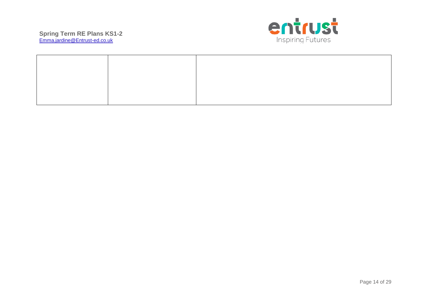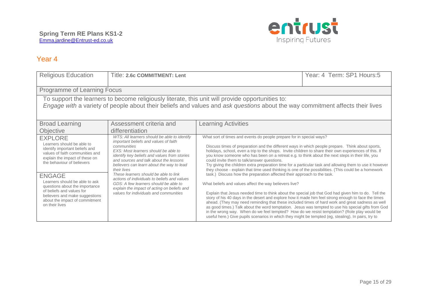

| <b>Religious Education</b>                                                                                                                                                                                                        | Title: 2.6c COMMITMENT: Lent                                                                                                                                                                                                                                                                       |                                                                                                                                                                                                                                                                                                                                                                                                                                                                                                                                                                                                                                                                                                                                                                   | Year: 4 Term: SP1 Hours:5 |
|-----------------------------------------------------------------------------------------------------------------------------------------------------------------------------------------------------------------------------------|----------------------------------------------------------------------------------------------------------------------------------------------------------------------------------------------------------------------------------------------------------------------------------------------------|-------------------------------------------------------------------------------------------------------------------------------------------------------------------------------------------------------------------------------------------------------------------------------------------------------------------------------------------------------------------------------------------------------------------------------------------------------------------------------------------------------------------------------------------------------------------------------------------------------------------------------------------------------------------------------------------------------------------------------------------------------------------|---------------------------|
| Programme of Learning Focus                                                                                                                                                                                                       |                                                                                                                                                                                                                                                                                                    |                                                                                                                                                                                                                                                                                                                                                                                                                                                                                                                                                                                                                                                                                                                                                                   |                           |
| To support the learners to become religiously literate, this unit will provide opportunities to:<br>Engage with a variety of people about their beliefs and values and ask questions about the way commitment affects their lives |                                                                                                                                                                                                                                                                                                    |                                                                                                                                                                                                                                                                                                                                                                                                                                                                                                                                                                                                                                                                                                                                                                   |                           |
| <b>Broad Learning</b>                                                                                                                                                                                                             | Assessment criteria and                                                                                                                                                                                                                                                                            | <b>Learning Activities</b>                                                                                                                                                                                                                                                                                                                                                                                                                                                                                                                                                                                                                                                                                                                                        |                           |
| <b>Objective</b>                                                                                                                                                                                                                  | differentiation                                                                                                                                                                                                                                                                                    |                                                                                                                                                                                                                                                                                                                                                                                                                                                                                                                                                                                                                                                                                                                                                                   |                           |
| <b>EXPLORE</b><br>Learners should be able to<br>identify important beliefs and<br>values of faith communities and<br>explain the impact of these on<br>the behaviour of believers                                                 | WTS: All learners should be able to identify<br>important beliefs and values of faith<br>communities<br>FXS: Most learners should be able to<br>identify key beliefs and values from stories<br>and sources and talk about the lessons<br>believers can learn about the way to lead<br>their lives | What sort of times and events do people prepare for in special ways?<br>Discuss times of preparation and the different ways in which people prepare. Think about sports,<br>holidays, school, even a trip to the shops. Invite children to share their own experiences of this. If<br>you know someone who has been on a retreat e.g. to think about the next steps in their life, you<br>could invite them to talk/answer questions.<br>Try giving the children extra preparation time for a particular task and allowing them to use it however<br>they choose - explain that time used thinking is one of the possibilities. (This could be a homework                                                                                                         |                           |
| <b>ENGAGE</b><br>Learners should be able to ask<br>questions about the importance<br>of beliefs and values for<br>believers and make suggestions<br>about the impact of commitment<br>on their lives                              | These learners should be able to link<br>actions of individuals to beliefs and values<br>GDS: A few learners should be able to<br>explain the impact of acting on beliefs and<br>values for individuals and communities                                                                            | task.) Discuss how the preparation affected their approach to the task.<br>What beliefs and values affect the way believers live?<br>Explain that Jesus needed time to think about the special job that God had given him to do. Tell the<br>story of his 40 days in the desert and explore how it made him feel strong enough to face the times<br>ahead. (They may need reminding that these included times of hard work and great sadness as well<br>as good times.) Talk about the word temptation. Jesus was tempted to use his special gifts from God<br>in the wrong way. When do we feel tempted? How do we resist temptation? (Role play would be<br>useful here.) Give pupils scenarios in which they might be tempted (eq. stealing). In pairs, try to |                           |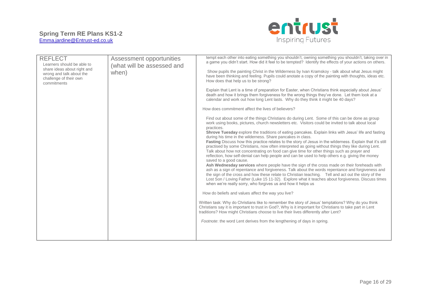

| <b>REFLECT</b><br>Assessment opportunities<br>Learners should be able to<br>(what will be assessed and<br>share ideas about right and<br>when)<br>wrong and talk about the<br>challenge of their own<br>commitments | tempt each other into eating something you shouldn't, owning something you shouldn't, taking over in<br>a game you didn't start. How did it feel to be tempted? Identify the effects of your actions on others.                                                                                                                                                                                                                                                                                                                                                                                                                                                                                                                                                                                                                                                                                                                                                                                                                                                                                                                                                                                                                                                                                                          |
|---------------------------------------------------------------------------------------------------------------------------------------------------------------------------------------------------------------------|--------------------------------------------------------------------------------------------------------------------------------------------------------------------------------------------------------------------------------------------------------------------------------------------------------------------------------------------------------------------------------------------------------------------------------------------------------------------------------------------------------------------------------------------------------------------------------------------------------------------------------------------------------------------------------------------------------------------------------------------------------------------------------------------------------------------------------------------------------------------------------------------------------------------------------------------------------------------------------------------------------------------------------------------------------------------------------------------------------------------------------------------------------------------------------------------------------------------------------------------------------------------------------------------------------------------------|
|                                                                                                                                                                                                                     | Show pupils the painting Christ in the Wilderness by Ivan Kramskoy - talk about what Jesus might<br>have been thinking and feeling. Pupils could anotate a copy of the painting with thoughts, ideas etc.<br>How does that help us to be strong?                                                                                                                                                                                                                                                                                                                                                                                                                                                                                                                                                                                                                                                                                                                                                                                                                                                                                                                                                                                                                                                                         |
|                                                                                                                                                                                                                     | Explain that Lent is a time of preparation for Easter, when Christians think especially about Jesus'<br>death and how it brings them forgiveness for the wrong things they've done. Let them look at a<br>calendar and work out how long Lent lasts. Why do they think it might be 40 days?                                                                                                                                                                                                                                                                                                                                                                                                                                                                                                                                                                                                                                                                                                                                                                                                                                                                                                                                                                                                                              |
|                                                                                                                                                                                                                     | How does commitment affect the lives of believers?                                                                                                                                                                                                                                                                                                                                                                                                                                                                                                                                                                                                                                                                                                                                                                                                                                                                                                                                                                                                                                                                                                                                                                                                                                                                       |
|                                                                                                                                                                                                                     | Find out about some of the things Christians do during Lent. Some of this can be done as group<br>work using books, pictures, church newsletters etc. Visitors could be invited to talk about local<br>practices.<br>Shrove Tuesday explore the traditions of eating pancakes. Explain links with Jesus' life and fasting<br>during his time in the wilderness. Share pancakes in class.<br>Fasting Discuss how this practice relates to the story of Jesus in the wilderness. Explain that it's still<br>practised by some Christians, now often interpreted as going without things they like during Lent.<br>Talk about how not concentrating on food can give time for other things such as prayer and<br>reflection, how self-denial can help people and can be used to help others e.g. giving the money<br>saved to a good cause.<br>Ash Wednesday services where people have the sign of the cross made on their foreheads with<br>ash as a sign of repentance and forgiveness. Talk about the words repentance and forgiveness and<br>the sign of the cross and how these relate to Christian teaching. Tell and act out the story of the<br>Lost Son / Loving Father (Luke 15 11-32). Explore what it teaches about forgiveness. Discuss times<br>when we're really sorry, who forgives us and how it helps us |
|                                                                                                                                                                                                                     | How do beliefs and values affect the way you live?                                                                                                                                                                                                                                                                                                                                                                                                                                                                                                                                                                                                                                                                                                                                                                                                                                                                                                                                                                                                                                                                                                                                                                                                                                                                       |
|                                                                                                                                                                                                                     | Written task: Why do Christians like to remember the story of Jesus' temptations? Why do you think<br>Christians say it is important to trust in God?, Why is it important for Christians to take part in Lent<br>traditions? How might Christians choose to live their lives differently after Lent?                                                                                                                                                                                                                                                                                                                                                                                                                                                                                                                                                                                                                                                                                                                                                                                                                                                                                                                                                                                                                    |
|                                                                                                                                                                                                                     | Footnote: the word Lent derives from the lengthening of days in spring.                                                                                                                                                                                                                                                                                                                                                                                                                                                                                                                                                                                                                                                                                                                                                                                                                                                                                                                                                                                                                                                                                                                                                                                                                                                  |
|                                                                                                                                                                                                                     |                                                                                                                                                                                                                                                                                                                                                                                                                                                                                                                                                                                                                                                                                                                                                                                                                                                                                                                                                                                                                                                                                                                                                                                                                                                                                                                          |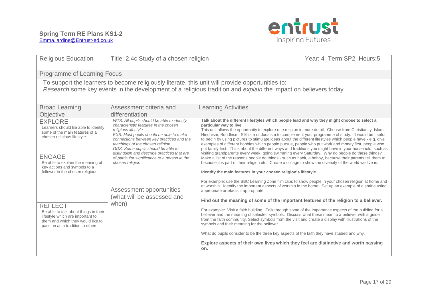

| <b>Religious Education</b>                                                                                                                         | Title: 2.4c Study of a chosen religion                                                                                                                                                                                                                                                                                                                                                                                                                    |                                                                                                                                                                                                                                                                                                                                                                                                                                                                                                                                                                                                                                                                          | Year: 4 Term: SP2 Hours: 5 |
|----------------------------------------------------------------------------------------------------------------------------------------------------|-----------------------------------------------------------------------------------------------------------------------------------------------------------------------------------------------------------------------------------------------------------------------------------------------------------------------------------------------------------------------------------------------------------------------------------------------------------|--------------------------------------------------------------------------------------------------------------------------------------------------------------------------------------------------------------------------------------------------------------------------------------------------------------------------------------------------------------------------------------------------------------------------------------------------------------------------------------------------------------------------------------------------------------------------------------------------------------------------------------------------------------------------|----------------------------|
| Programme of Learning Focus                                                                                                                        |                                                                                                                                                                                                                                                                                                                                                                                                                                                           |                                                                                                                                                                                                                                                                                                                                                                                                                                                                                                                                                                                                                                                                          |                            |
|                                                                                                                                                    |                                                                                                                                                                                                                                                                                                                                                                                                                                                           | To support the learners to become religiously literate, this unit will provide opportunities to:                                                                                                                                                                                                                                                                                                                                                                                                                                                                                                                                                                         |                            |
|                                                                                                                                                    |                                                                                                                                                                                                                                                                                                                                                                                                                                                           | Research some key events in the development of a religious tradition and explain the impact on believers today                                                                                                                                                                                                                                                                                                                                                                                                                                                                                                                                                           |                            |
| <b>Broad Learning</b>                                                                                                                              | Assessment criteria and                                                                                                                                                                                                                                                                                                                                                                                                                                   | <b>Learning Activities</b>                                                                                                                                                                                                                                                                                                                                                                                                                                                                                                                                                                                                                                               |                            |
| Objective                                                                                                                                          | differentiation                                                                                                                                                                                                                                                                                                                                                                                                                                           |                                                                                                                                                                                                                                                                                                                                                                                                                                                                                                                                                                                                                                                                          |                            |
| <b>EXPLORE</b><br>Learners should Be able to identify<br>some of the main features of a<br>chosen religious lifestyle.                             | WTS: All pupils should be able to identify<br>characteristic features in the chosen<br>religions lifestyle<br>EXS: Most pupils should be able to make<br>connections between key practices and the<br>teachings of the chosen religion<br>GDS: Some pupils should be able to<br>distinguish and describe practices that are<br>of particular significance to a person in the<br>chosen religion<br>Assessment opportunities<br>(what will be assessed and | Talk about the different lifestyles which people lead and why they might choose to select a<br>particular way to live.<br>This unit allows the opportunity to explore one religion in more detail. Choose from Christianity, Islam,<br>Hinduism, Buddhism, Sikhism or Judaism to complement your programme of study. It would be useful<br>to begin by using pictures to stimulate ideas about the different lifestyles which people have - e.g. give<br>examples of different hobbies which people pursue, people who put work and money first, people who<br>put family first. Think about the different ways and traditions you might have in your household, such as |                            |
| <b>ENGAGE</b><br>Be able to explain the meaning of<br>key actions and symbols to a<br>follower in the chosen religious                             |                                                                                                                                                                                                                                                                                                                                                                                                                                                           | visiting grandparents every week, going swimming every Saturday. Why do people do these things?<br>Make a list of the reasons people do things - such as habit, a hobby, because their parents tell them to,<br>because it is part of their religion etc. Create a collage to show the diversity of the world we live in.<br>Identify the main features in your chosen religion's lifestyle.                                                                                                                                                                                                                                                                             |                            |
|                                                                                                                                                    |                                                                                                                                                                                                                                                                                                                                                                                                                                                           | For example: use the BBC Learning Zone film clips to show people in your chosen religion at home and<br>at worship. Identify the important aspects of worship in the home. Set up an example of a shrine using<br>appropriate artefacts if appropriate.                                                                                                                                                                                                                                                                                                                                                                                                                  |                            |
| <b>REFLECT</b>                                                                                                                                     | when)                                                                                                                                                                                                                                                                                                                                                                                                                                                     | Find out the meaning of some of the important features of the religion to a believer.                                                                                                                                                                                                                                                                                                                                                                                                                                                                                                                                                                                    |                            |
| Be able to talk about things in their<br>lifestyle which are important to<br>them and which they would like to<br>pass on as a tradition to others |                                                                                                                                                                                                                                                                                                                                                                                                                                                           | For example: Visit a faith building. Talk through some of the importance aspects of the building for a<br>believer and the meaning of selected symbols. Discuss what these mean to a believer with a guide<br>from the faith community. Select symbols from the visit and create a display with illustrations of the<br>symbols and their meaning for the believer.                                                                                                                                                                                                                                                                                                      |                            |
|                                                                                                                                                    |                                                                                                                                                                                                                                                                                                                                                                                                                                                           | What do pupils consider to be the three key aspects of the faith they have studied and why.                                                                                                                                                                                                                                                                                                                                                                                                                                                                                                                                                                              |                            |
|                                                                                                                                                    |                                                                                                                                                                                                                                                                                                                                                                                                                                                           | Explore aspects of their own lives which they feel are distinctive and worth passing<br>on.                                                                                                                                                                                                                                                                                                                                                                                                                                                                                                                                                                              |                            |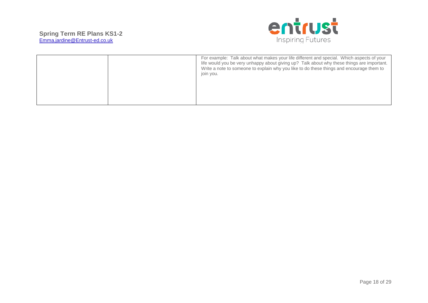

|  | For example: Talk about what makes your life different and special. Which aspects of your<br>life would you be very unhappy about giving up? Talk about why these things are important.<br>Write a note to someone to explain why you like to do these things and encourage them to<br>join you. |
|--|--------------------------------------------------------------------------------------------------------------------------------------------------------------------------------------------------------------------------------------------------------------------------------------------------|
|  |                                                                                                                                                                                                                                                                                                  |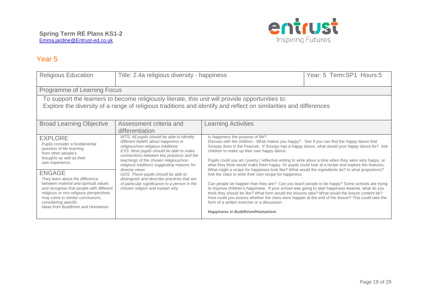

| <b>Religious Education</b>                                                                                                                                                                                                                                                                                                                                                                                                               | Title: 2.4a religious diversity - happiness                                                                                                                                                                                                                                                                                                                                                                                                                                                          |                                                                                                                                                                                                                                                                                                                                                                                                                                                                                                                                                                                                                                                                                                                                                                                                                                                                                                                                                                                                                                                                                                                                                                  | Year: 5 Term: SP1 Hours: 5 |
|------------------------------------------------------------------------------------------------------------------------------------------------------------------------------------------------------------------------------------------------------------------------------------------------------------------------------------------------------------------------------------------------------------------------------------------|------------------------------------------------------------------------------------------------------------------------------------------------------------------------------------------------------------------------------------------------------------------------------------------------------------------------------------------------------------------------------------------------------------------------------------------------------------------------------------------------------|------------------------------------------------------------------------------------------------------------------------------------------------------------------------------------------------------------------------------------------------------------------------------------------------------------------------------------------------------------------------------------------------------------------------------------------------------------------------------------------------------------------------------------------------------------------------------------------------------------------------------------------------------------------------------------------------------------------------------------------------------------------------------------------------------------------------------------------------------------------------------------------------------------------------------------------------------------------------------------------------------------------------------------------------------------------------------------------------------------------------------------------------------------------|----------------------------|
| Programme of Learning Focus                                                                                                                                                                                                                                                                                                                                                                                                              |                                                                                                                                                                                                                                                                                                                                                                                                                                                                                                      |                                                                                                                                                                                                                                                                                                                                                                                                                                                                                                                                                                                                                                                                                                                                                                                                                                                                                                                                                                                                                                                                                                                                                                  |                            |
| To support the learners to become religiously literate, this unit will provide opportunities to:<br>Explore the diversity of a range of religious traditions and identify and reflect on similarities and differences                                                                                                                                                                                                                    |                                                                                                                                                                                                                                                                                                                                                                                                                                                                                                      |                                                                                                                                                                                                                                                                                                                                                                                                                                                                                                                                                                                                                                                                                                                                                                                                                                                                                                                                                                                                                                                                                                                                                                  |                            |
| <b>Broad Learning Objective</b>                                                                                                                                                                                                                                                                                                                                                                                                          | Assessment criteria and<br>differentiation                                                                                                                                                                                                                                                                                                                                                                                                                                                           | <b>Learning Activities</b>                                                                                                                                                                                                                                                                                                                                                                                                                                                                                                                                                                                                                                                                                                                                                                                                                                                                                                                                                                                                                                                                                                                                       |                            |
| <b>EXPLORE</b><br>Pupils consider a fundamental<br>question of life learning<br>from other people's<br>thoughts as well as their<br>own experience.<br><b>ENGAGE</b><br>They learn about the difference<br>between material and spiritual values<br>and recognise that people with different<br>religious or non-religious perspectives<br>may come to similar conclusions,<br>considering specific<br>ideas from Buddhism and Humanism. | WTS: All pupils should be able to identify<br>different beliefs about happiness in<br>religious/non-religious traditions<br>EXS: Most pupils should be able to make<br>connections between key practices and the<br>teachings of the chosen religious/non-<br>religious traditions suggesting reasons for<br>diverse views<br>GDS: These pupils should be able to<br>distinguish and describe practices that are<br>of particular significance to a person in the<br>chosen religion and explain why | Is happiness the purpose of life?<br>Discuss with the children - What makes you happy? See if you can find the happy dance that<br>Snoopy does in the Peanuts. If Snoopy has a happy dance, what would your happy dance be? Ask<br>children to make up their own happy dance.<br>Pupils could use art / poetry / reflective writing to write about a time when they were very happy, or<br>what they think would make them happy. Or pupils could look at a recipe and explore the features.<br>What might a recipe for happiness look like? What would the ingredients be? In what proportions?<br>Ask the class to write their own recipe for happiness.<br>Can people be happier than they are? Can you teach people to be happy? Some schools are trying<br>to improve children's happiness. If your school was going to start happiness lessons, what do you<br>think they should be like? What form would the lessons take? What would the lesson content be?<br>How could you assess whether the class were happier at the end of the lesson? This could take the<br>form of a written exercise or a discussion.<br><b>Happiness in Buddhism/Humanism</b> |                            |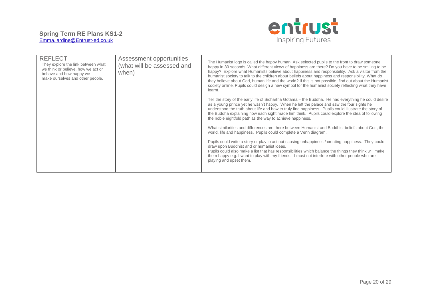

| <b>REFLECT</b><br>They explore the link between what<br>we think or believe, how we act or<br>behave and how happy we<br>make ourselves and other people. | Assessment opportunities<br>(what will be assessed and<br>when) | The Humanist logo is called the happy human. Ask selected pupils to the front to draw someone<br>happy in 30 seconds. What different views of happiness are there? Do you have to be smiling to be<br>happy? Explore what Humanists believe about happiness and responsibility. Ask a visitor from the<br>humanist society to talk to the children about beliefs about happiness and responsibility. What do<br>they believe about God, human life and the world? If this is not possible, find out about the Humanist<br>society online. Pupils could design a new symbol for the humanist society reflecting what they have<br>learnt.<br>Tell the story of the early life of Sidhartha Gotama – the Buddha. He had everything he could desire<br>as a young prince yet he wasn't happy. When he left the palace and saw the four sights he<br>understood the truth about life and how to truly find happiness. Pupils could illustrate the story of<br>the Buddha explaining how each sight made him think. Pupils could explore the idea of following<br>the noble eightfold path as the way to achieve happiness.<br>What similarities and differences are there between Humanist and Buddhist beliefs about God, the<br>world, life and happiness. Pupils could complete a Venn diagram.<br>Pupils could write a story or play to act out causing unhappiness / creating happiness. They could<br>draw upon Buddhist and or humanist ideas.<br>Pupils could also make a list that has responsibilities which balance the things they think will make<br>them happy e.g. I want to play with my friends - I must not interfere with other people who are<br>playing and upset them. |
|-----------------------------------------------------------------------------------------------------------------------------------------------------------|-----------------------------------------------------------------|------------------------------------------------------------------------------------------------------------------------------------------------------------------------------------------------------------------------------------------------------------------------------------------------------------------------------------------------------------------------------------------------------------------------------------------------------------------------------------------------------------------------------------------------------------------------------------------------------------------------------------------------------------------------------------------------------------------------------------------------------------------------------------------------------------------------------------------------------------------------------------------------------------------------------------------------------------------------------------------------------------------------------------------------------------------------------------------------------------------------------------------------------------------------------------------------------------------------------------------------------------------------------------------------------------------------------------------------------------------------------------------------------------------------------------------------------------------------------------------------------------------------------------------------------------------------------------------------------------------------------------------------------------------------------------------|
|                                                                                                                                                           |                                                                 |                                                                                                                                                                                                                                                                                                                                                                                                                                                                                                                                                                                                                                                                                                                                                                                                                                                                                                                                                                                                                                                                                                                                                                                                                                                                                                                                                                                                                                                                                                                                                                                                                                                                                          |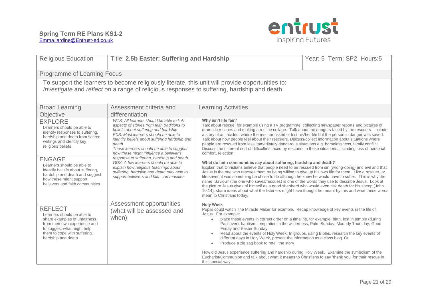

| <b>Religious Education</b>                                                                                                                                                                                                                                                                                                                               | Title: 2.5b Easter: Suffering and Hardship                                                                                                                                                                                                                                                                                                                                                                                                                                                                                                     |                                                                                                                                                                                                                                                                                                                                                                                                                                                                                                                                                                                                                                                                                                                                                                                                                                                                                                                                                                                                                                                                                                                                                                                                                                                                                                                                                                                                                            | Year: 5 Term: SP2 Hours:5 |
|----------------------------------------------------------------------------------------------------------------------------------------------------------------------------------------------------------------------------------------------------------------------------------------------------------------------------------------------------------|------------------------------------------------------------------------------------------------------------------------------------------------------------------------------------------------------------------------------------------------------------------------------------------------------------------------------------------------------------------------------------------------------------------------------------------------------------------------------------------------------------------------------------------------|----------------------------------------------------------------------------------------------------------------------------------------------------------------------------------------------------------------------------------------------------------------------------------------------------------------------------------------------------------------------------------------------------------------------------------------------------------------------------------------------------------------------------------------------------------------------------------------------------------------------------------------------------------------------------------------------------------------------------------------------------------------------------------------------------------------------------------------------------------------------------------------------------------------------------------------------------------------------------------------------------------------------------------------------------------------------------------------------------------------------------------------------------------------------------------------------------------------------------------------------------------------------------------------------------------------------------------------------------------------------------------------------------------------------------|---------------------------|
| Programme of Learning Focus                                                                                                                                                                                                                                                                                                                              |                                                                                                                                                                                                                                                                                                                                                                                                                                                                                                                                                |                                                                                                                                                                                                                                                                                                                                                                                                                                                                                                                                                                                                                                                                                                                                                                                                                                                                                                                                                                                                                                                                                                                                                                                                                                                                                                                                                                                                                            |                           |
| To support the learners to become religiously literate, this unit will provide opportunities to:<br>Investigate and reflect on a range of religious responses to suffering, hardship and death                                                                                                                                                           |                                                                                                                                                                                                                                                                                                                                                                                                                                                                                                                                                |                                                                                                                                                                                                                                                                                                                                                                                                                                                                                                                                                                                                                                                                                                                                                                                                                                                                                                                                                                                                                                                                                                                                                                                                                                                                                                                                                                                                                            |                           |
| <b>Broad Learning</b>                                                                                                                                                                                                                                                                                                                                    | Assessment criteria and                                                                                                                                                                                                                                                                                                                                                                                                                                                                                                                        | <b>Learning Activities</b>                                                                                                                                                                                                                                                                                                                                                                                                                                                                                                                                                                                                                                                                                                                                                                                                                                                                                                                                                                                                                                                                                                                                                                                                                                                                                                                                                                                                 |                           |
| Objective                                                                                                                                                                                                                                                                                                                                                | differentiation                                                                                                                                                                                                                                                                                                                                                                                                                                                                                                                                |                                                                                                                                                                                                                                                                                                                                                                                                                                                                                                                                                                                                                                                                                                                                                                                                                                                                                                                                                                                                                                                                                                                                                                                                                                                                                                                                                                                                                            |                           |
| <b>EXPLORE</b><br>Learners should be able to<br>identify responses to suffering,<br>hardship and death from sacred<br>writings and identify key<br>religious beliefs<br><b>ENGAGE</b><br>Learners should be able to<br>identify beliefs about suffering,<br>hardship and death and suggest<br>how these might support<br>believers and faith communities | WTS: All learners should be able to link<br>aspects of stories from faith traditions to<br>beliefs about suffering and hardship<br>EXS: Most learners should be able to<br>identify beliefs about suffering hardship and<br>death<br>These learners should be able to suggest<br>how these might influence a believer's<br>response to suffering, hardship and death<br>GDS: A few learners should be able to<br>explain how religious teachings about<br>suffering, hardship and death may help to<br>support believers and faith communities | Why isn't life fair?<br>Talk about rescue, for example using a TV programme, collecting newspaper reports and pictures of<br>dramatic rescues and making a rescue collage. Talk about the dangers faced by the rescuers. Include<br>a story of an incident where the rescuer risked or lost his/her life but the person in danger was saved.<br>Talk about how people feel about their rescuers. Discuss/collect information about situations where<br>people are rescued from less immediately dangerous situations e.g. homelessness, family conflict.<br>Discuss the different sort of difficulties faced by rescuers in these situations, including loss of personal<br>comfort, rejection.<br>What do faith communities say about suffering, hardship and death?<br>Explain that Christians believe that people need to be rescued from sin (wrong-doing) and evil and that<br>Jesus is the one who rescues them by being willing to give up his own life for them. Like a rescuer, or<br>life-saver, it was something he chose to do although he knew he would have to suffer. This is why the<br>name 'Saviour' (the one who saves/rescues) is one of the words they use to describe Jesus. Look at<br>the picture Jesus gives of himself as a good shepherd who would even risk death for his sheep (John<br>10:14); share ideas about what the listeners might have thought he meant by this and what these words |                           |
| <b>REFLECT</b><br>Learners should be able to<br>share examples of unfairness<br>from their own experience and<br>to suggest what might help<br>them to cope with suffering,<br>hardship and death                                                                                                                                                        | Assessment opportunities<br>(what will be assessed and<br>when)                                                                                                                                                                                                                                                                                                                                                                                                                                                                                | mean to Christians today.<br><b>Holy Week</b><br>Pupils could watch The Miracle Maker for example. Recap knowledge of key events in the life of<br>Jesus. For example:<br>place these events in correct order on a timeline, for example, birth, lost in temple (during<br>$\bullet$<br>Passover), baptism, temptation in the wilderness, Palm Sunday, Maundy Thursday, Good<br>Friday and Easter Sunday.<br>Read about the events of Holy Week. In groups, using Bibles, research the key events of<br>different days in Holy Week, present the information as a class blog. Or<br>Produce a zig zag book to retell the story<br>How did Jesus experience suffering and hardship during Holy Week. Examine the symbolism of the<br>Eucharist/Communion and talk about what it means to Christians to say 'thank you' for their rescue in<br>this special way.                                                                                                                                                                                                                                                                                                                                                                                                                                                                                                                                                             |                           |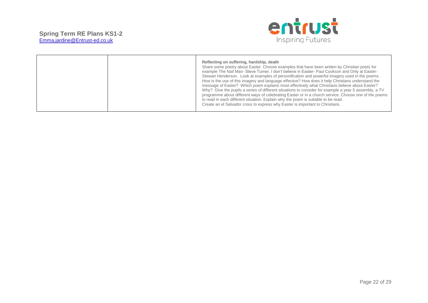

|  | Reflecting on suffering, hardship, death<br>Share some poetry about Easter. Choose examples that have been written by Christian poets for<br>example The Nail Man-Steve Turner, I don't believe in Easter-Paul Cookson and Only at Easter-<br>Stewart Henderson. Look at examples of personification and powerful imagery used in the poems.<br>How is the use of this imagery and language effective? How does it help Christians understand the<br>message of Easter? Which poem explains most effectively what Christians believe about Easter?<br>Why? Give the pupils a series of different situations to consider for example a year 5 assembly, a TV<br>programme about different ways of celebrating Easter or in a church service. Choose one of the poems<br>to read in each different situation. Explain why the poem is suitable to be read.<br>Create an el Salvador cross to express why Easter is important to Christians. |
|--|-------------------------------------------------------------------------------------------------------------------------------------------------------------------------------------------------------------------------------------------------------------------------------------------------------------------------------------------------------------------------------------------------------------------------------------------------------------------------------------------------------------------------------------------------------------------------------------------------------------------------------------------------------------------------------------------------------------------------------------------------------------------------------------------------------------------------------------------------------------------------------------------------------------------------------------------|
|--|-------------------------------------------------------------------------------------------------------------------------------------------------------------------------------------------------------------------------------------------------------------------------------------------------------------------------------------------------------------------------------------------------------------------------------------------------------------------------------------------------------------------------------------------------------------------------------------------------------------------------------------------------------------------------------------------------------------------------------------------------------------------------------------------------------------------------------------------------------------------------------------------------------------------------------------------|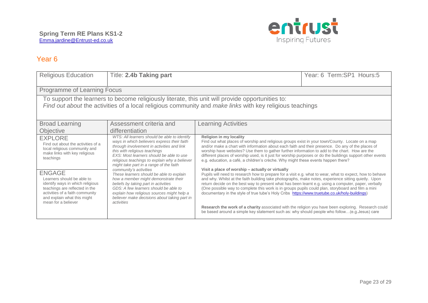

| <b>Religious Education</b>                                                                                                                                                                                 | Title: 2.4b Taking part                                                                                                                                                                                                                                                                                            |                                                                                                                                                                                                                                                                                                                                                                                                                                                                                                                                                                                     | Year: 6 Term: SP1 Hours: 5 |
|------------------------------------------------------------------------------------------------------------------------------------------------------------------------------------------------------------|--------------------------------------------------------------------------------------------------------------------------------------------------------------------------------------------------------------------------------------------------------------------------------------------------------------------|-------------------------------------------------------------------------------------------------------------------------------------------------------------------------------------------------------------------------------------------------------------------------------------------------------------------------------------------------------------------------------------------------------------------------------------------------------------------------------------------------------------------------------------------------------------------------------------|----------------------------|
| Programme of Learning Focus                                                                                                                                                                                |                                                                                                                                                                                                                                                                                                                    |                                                                                                                                                                                                                                                                                                                                                                                                                                                                                                                                                                                     |                            |
|                                                                                                                                                                                                            |                                                                                                                                                                                                                                                                                                                    | To support the learners to become religiously literate, this unit will provide opportunities to:<br>Find out about the activities of a local religious community and make links with key religious teachings                                                                                                                                                                                                                                                                                                                                                                        |                            |
| <b>Broad Learning</b>                                                                                                                                                                                      | Assessment criteria and                                                                                                                                                                                                                                                                                            | <b>Learning Activities</b>                                                                                                                                                                                                                                                                                                                                                                                                                                                                                                                                                          |                            |
| Objective                                                                                                                                                                                                  | differentiation                                                                                                                                                                                                                                                                                                    |                                                                                                                                                                                                                                                                                                                                                                                                                                                                                                                                                                                     |                            |
| <b>EXPLORE</b><br>Find out about the activities of a<br>local religious community and<br>make links with key religious<br>teachings                                                                        | WTS: All learners should be able to identify<br>ways in which believers express their faith<br>through involvement in activities and link<br>this with religious teachings<br>EXS: Most learners should be able to use<br>religious teachings to explain why a believer<br>might take part in a range of the faith | <b>Religion in my locality</b><br>Find out what places of worship and religious groups exist in your town/County. Locate on a map<br>and/or make a chart with information about each faith and their presence. Do any of the places of<br>worship have websites? Use them to gather further information to add to the chart. How are the<br>different places of worship used, is it just for worship purposes or do the buildings support other events<br>e.g. education, a café, a children's crèche. Why might these events happen there?                                         |                            |
| <b>ENGAGE</b><br>Learners should be able to<br>identify ways in which religious<br>teachings are reflected in the<br>activities of a faith community<br>and explain what this might<br>mean for a believer | community's activities<br>These learners should be able to explain<br>how a member might demonstrate their<br>beliefs by taking part in activities<br>GDS: A few learners should be able to<br>explain how religious sources might help a<br>believer make decisions about taking part in<br>activities            | Visit a place of worship – actually or virtually<br>Pupils will need to research how to prepare for a visit e.g. what to wear, what to expect, how to behave<br>and why. Whilst at the faith building take photographs, make notes, experience sitting quietly. Upon<br>return decide on the best way to present what has been learnt e.g. using a computer, paper, verbally<br>(One possible way to complete this work is in groups pupils could plan, storyboard and film a mini<br>documentary in the style of true tube's Holy Cribs https://www.truetube.co.uk/holy-buildings) |                            |
|                                                                                                                                                                                                            |                                                                                                                                                                                                                                                                                                                    | Research the work of a charity associated with the religion you have been exploring. Research could<br>be based around a simple key statement such as: why should people who follow(e.g. Jesus) care                                                                                                                                                                                                                                                                                                                                                                                |                            |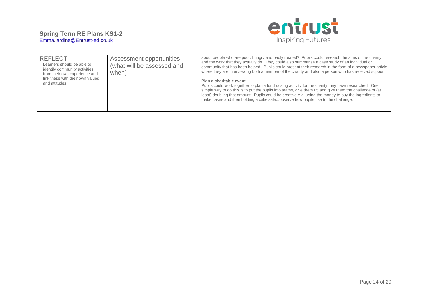

| <b>REFLECT</b>                   | about people who are poor, hungry and badly treated? Pupils could research the aims of the charity     |
|----------------------------------|--------------------------------------------------------------------------------------------------------|
| Assessment opportunities         | and the work that they actually do. They could also summarise a case study of an individual or         |
| Learners should be able to       | community that has been helped. Pupils could present their research in the form of a newspaper article |
| (what will be assessed and       | where they are interviewing both a member of the charity and also a person who has received support.   |
| identify community activities    | Plan a charitable event                                                                                |
| when)                            | Pupils could work together to plan a fund raising activity for the charity they have researched. One   |
| from their own experience and    | simple way to do this is to put the pupils into teams, give them £5 and give them the challenge of (at |
| link these with their own values | least) doubling that amount. Pupils could be creative e.g. using the money to buy the ingredients to   |
| and attitudes                    | make cakes and then holding a cake saleobserve how pupils rise to the challenge.                       |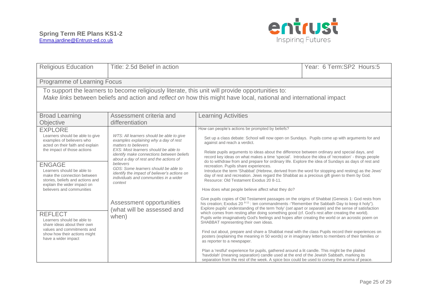

| <b>Religious Education</b>                                                                                                                                                                                            | Title: 2.5d Belief in action                                                                                                                                                                                                             |                                                                                                                                                                                                                                                                                                                                                                                                                                                                                                                                                                           | Year: 6 Term: SP2 Hours: 5 |
|-----------------------------------------------------------------------------------------------------------------------------------------------------------------------------------------------------------------------|------------------------------------------------------------------------------------------------------------------------------------------------------------------------------------------------------------------------------------------|---------------------------------------------------------------------------------------------------------------------------------------------------------------------------------------------------------------------------------------------------------------------------------------------------------------------------------------------------------------------------------------------------------------------------------------------------------------------------------------------------------------------------------------------------------------------------|----------------------------|
| Programme of Learning Focus                                                                                                                                                                                           |                                                                                                                                                                                                                                          |                                                                                                                                                                                                                                                                                                                                                                                                                                                                                                                                                                           |                            |
| To support the learners to become religiously literate, this unit will provide opportunities to:<br>Make links between beliefs and action and reflect on how this might have local, national and international impact |                                                                                                                                                                                                                                          |                                                                                                                                                                                                                                                                                                                                                                                                                                                                                                                                                                           |                            |
| <b>Broad Learning</b><br><b>Objective</b>                                                                                                                                                                             | Assessment criteria and<br>differentiation                                                                                                                                                                                               | <b>Learning Activities</b>                                                                                                                                                                                                                                                                                                                                                                                                                                                                                                                                                |                            |
| <b>EXPLORE</b>                                                                                                                                                                                                        |                                                                                                                                                                                                                                          | How can people's actions be prompted by beliefs?                                                                                                                                                                                                                                                                                                                                                                                                                                                                                                                          |                            |
| Learners should be able to give<br>examples of believers who<br>acted on their faith and explain<br>the impact of those actions                                                                                       | WTS: All learners should be able to give<br>examples explaining why a day of rest<br>matters to believers<br>EXS: Most learners should be able to<br>identify make connections between beliefs<br>about a day of rest and the actions of | Set up a class debate: School will now open on Sundays. Pupils come up with arguments for and<br>against and reach a verdict.<br>Relate pupils arguments to ideas about the difference between ordinary and special days, and<br>record key ideas on what makes a time 'special'. Introduce the idea of 'recreation' - things people                                                                                                                                                                                                                                      |                            |
| <b>ENGAGE</b><br>Learners should be able to<br>make the connection between<br>stories, beliefs and actions and<br>explain the wider impact on                                                                         | believers<br>GDS: Some learners should be able to<br>identify the impact of believer's actions on<br>individuals and communities in a wider<br>context                                                                                   | do to withdraw from and prepare for ordinary life. Explore the idea of Sundays as days of rest and<br>recreation. Pupils share experiences.<br>Introduce the term 'Shabbat' (Hebrew, derived from the word for stopping and resting) as the Jews'<br>day of rest and recreation. Jews regard the Shabbat as a precious gift given to them by God.<br>Resource: Old Testament Exodus 20 8-11.                                                                                                                                                                              |                            |
| believers and communities                                                                                                                                                                                             |                                                                                                                                                                                                                                          | How does what people believe affect what they do?                                                                                                                                                                                                                                                                                                                                                                                                                                                                                                                         |                            |
| <b>REFLECT</b><br>Learners should be able to                                                                                                                                                                          | Assessment opportunities<br>(what will be assessed and<br>when)                                                                                                                                                                          | Give pupils copies of Old Testament passages on the origins of Shabbat (Genesis 1: God rests from<br>his creation; Exodus 20 <sup>8-11</sup> : ten commandments -"Remember the Sabbath Day to keep it holy").<br>Explore pupils' understanding of the term 'holy' (set apart or separate) and the sense of satisfaction<br>which comes from resting after doing something good (cf. God's rest after creating the world).<br>Pupils write imaginatively God's feelings and hopes after creating the world or an acrostic poem on<br>SHABBAT representing their own ideas. |                            |
| share ideas about their own<br>values and commitments and<br>show how their actions might<br>have a wider impact                                                                                                      |                                                                                                                                                                                                                                          | Find out about, prepare and share a Shabbat meal with the class Pupils record their experiences on<br>posters (explaining the meaning in 50 words) or in imaginary letters to members of their families or<br>as reporter to a newspaper.                                                                                                                                                                                                                                                                                                                                 |                            |
|                                                                                                                                                                                                                       |                                                                                                                                                                                                                                          | Plan a 'restful' experience for pupils, gathered around a lit candle. This might be the plaited<br>'havdolah' (meaning separation) candle used at the end of the Jewish Sabbath, marking its<br>separation from the rest of the week. A spice box could be used to convey the aroma of peace.                                                                                                                                                                                                                                                                             |                            |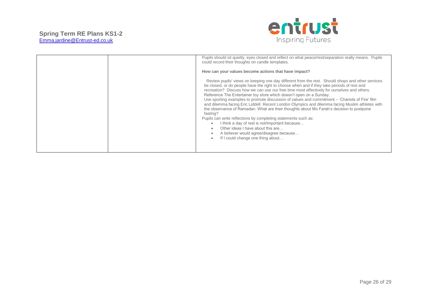

|  | Pupils should sit quietly, eyes closed and reflect on what peace/rest/separation really means. Pupils<br>could record their thoughts on candle templates.<br>How can your values become actions that have impact?<br>Review pupils' views on keeping one day different from the rest. Should shops and other services<br>be closed, or do people have the right to choose when and if they take periods of rest and<br>recreation? Discuss how we can use our free time most effectively for ourselves and others.<br>Reference The Entertainer toy store which doesn't open on a Sunday.<br>Use sporting examples to promote discussion of values and commitment - 'Chariots of Fire' film<br>and dilemma facing Eric Liddell. Recent London Olympics and dilemma facing Muslim athletes with<br>the observance of Ramadan. What are their thoughts about Mo Farah's decision to postpone<br>fasting?<br>Pupils can write reflections by completing statements such as:<br>I think a day of rest is not/important because<br>Other ideas I have about this are<br>A believer would agree/disagree because<br>If I could change one thing about |
|--|-------------------------------------------------------------------------------------------------------------------------------------------------------------------------------------------------------------------------------------------------------------------------------------------------------------------------------------------------------------------------------------------------------------------------------------------------------------------------------------------------------------------------------------------------------------------------------------------------------------------------------------------------------------------------------------------------------------------------------------------------------------------------------------------------------------------------------------------------------------------------------------------------------------------------------------------------------------------------------------------------------------------------------------------------------------------------------------------------------------------------------------------------|
|  |                                                                                                                                                                                                                                                                                                                                                                                                                                                                                                                                                                                                                                                                                                                                                                                                                                                                                                                                                                                                                                                                                                                                                 |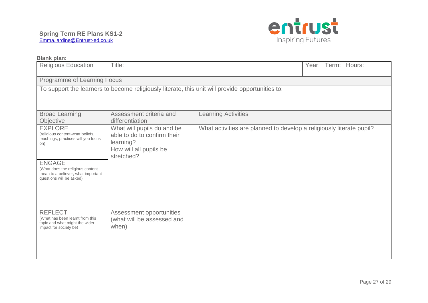

| <b>Blank plan:</b>                                                                                                                                    |                                                                                                                |                                                                      |                    |  |  |  |  |  |  |  |  |
|-------------------------------------------------------------------------------------------------------------------------------------------------------|----------------------------------------------------------------------------------------------------------------|----------------------------------------------------------------------|--------------------|--|--|--|--|--|--|--|--|
| <b>Religious Education</b>                                                                                                                            | Title:                                                                                                         |                                                                      | Year: Term: Hours: |  |  |  |  |  |  |  |  |
| Programme of Learning Focus                                                                                                                           |                                                                                                                |                                                                      |                    |  |  |  |  |  |  |  |  |
| To support the learners to become religiously literate, this unit will provide opportunities to:                                                      |                                                                                                                |                                                                      |                    |  |  |  |  |  |  |  |  |
|                                                                                                                                                       |                                                                                                                |                                                                      |                    |  |  |  |  |  |  |  |  |
| <b>Broad Learning</b><br>Objective                                                                                                                    | Assessment criteria and<br>differentiation                                                                     | <b>Learning Activities</b>                                           |                    |  |  |  |  |  |  |  |  |
| <b>EXPLORE</b><br>(religious content-what beliefs,<br>teachings, practices will you focus<br>on)<br><b>ENGAGE</b><br>(What does the religious content | What will pupils do and be<br>able to do to confirm their<br>learning?<br>How will all pupils be<br>stretched? | What activities are planned to develop a religiously literate pupil? |                    |  |  |  |  |  |  |  |  |
| mean to a believer, what important<br>questions will be asked)                                                                                        |                                                                                                                |                                                                      |                    |  |  |  |  |  |  |  |  |
| <b>REFLECT</b><br>(What has been learnt from this<br>topic and what might the wider<br>impact for society be)                                         | Assessment opportunities<br>(what will be assessed and<br>when)                                                |                                                                      |                    |  |  |  |  |  |  |  |  |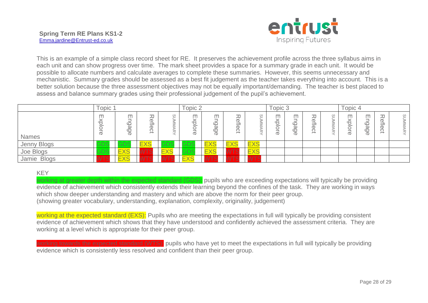

This is an example of a simple class record sheet for RE. It preserves the achievement profile across the three syllabus aims in each unit and can show progress over time. The mark sheet provides a space for a summary grade in each unit. It would be possible to allocate numbers and calculate averages to complete these summaries. However, this seems unnecessary and mechanistic. Summary grades should be assessed as a best fit judgement as the teacher takes everything into account. This is a better solution because the three assessment objectives may not be equally important/demanding. The teacher is best placed to assess and balance summary grades using their professional judgement of the pupil's achievement.

|              | "opic              |                                                 |                         |                                              | Topic 2                                                          |                                      |                                                         | Fopic 3                                                |                  |                                   | ⊺opic 4                                                                      |                                                |                       |                                          |                                                                                                    |                            |
|--------------|--------------------|-------------------------------------------------|-------------------------|----------------------------------------------|------------------------------------------------------------------|--------------------------------------|---------------------------------------------------------|--------------------------------------------------------|------------------|-----------------------------------|------------------------------------------------------------------------------|------------------------------------------------|-----------------------|------------------------------------------|----------------------------------------------------------------------------------------------------|----------------------------|
| <b>Names</b> | Ш<br>CD.           | Ш<br>ے<br>ے                                     | ∽<br>_                  | -<br>$\overline{\phantom{a}}$<br>⊸<br>–<br>- | m<br>∼<br>⌒<br>∽<br>◡<br>$\overline{\phantom{a}}$<br>∽<br>-<br>ወ | m<br>ىپ<br>Ø,<br>È<br>ىپ<br>$\sigma$ | 刀<br>Ф.<br>$\overline{\phantom{m}}$<br>-<br>Φ<br>C<br>∸ | ഗ<br>$\overline{\phantom{0}}$<br>─<br>⇁<br>≘<br>⋍<br>╼ | Ш<br>⌒<br>∽<br>Œ | m<br>$\sim$<br>ىپ<br>മ<br>ىپ<br>ወ | --<br>∼<br>Φ<br>$\rightarrow$<br>_<br>Φ<br>$\sim$<br>$\sim$<br>$\rightarrow$ | S<br>—<br><b>JNNI</b><br>$\triangleright$<br>ᆽ | ш<br>⌒<br>∽<br>-<br>ወ | m<br>$\circ$<br>മ<br>$\circ$<br>$\sigma$ | ∼<br><b>D</b><br>$\rightarrow$<br>$-$<br>$\mathbb{O}$<br>$\overline{\phantom{0}}$<br>$\rightarrow$ | S)<br>$\equiv$<br>€<br>ARY |
| Jenny Blogs  | GDS                | GDS                                             | EΥ<br><b>NC</b><br>$-1$ | ADS<br>-<br>$\tilde{\phantom{a}}$            | <b>GDS</b><br>$\sim$ $\sim$                                      | -<br>ЕX                              | $\overline{\phantom{a}}$<br>⊢<br>$-1$                   | EX                                                     |                  |                                   |                                                                              |                                                |                       |                                          |                                                                                                    |                            |
| Joe Blogs    | GDS                | $\mathsf{F}\lambda$<br>$\overline{\phantom{a}}$ |                         | -<br>$\mathbf{r}$<br>$\sim$                  | AD!<br>.<br>$\sim$ $\sim$                                        | $\equiv$<br>ЕX                       |                                                         | <b>EXS</b>                                             |                  |                                   |                                                                              |                                                |                       |                                          |                                                                                                    |                            |
| Jamie Blogs  | $T^{\top}C$<br>VTS | $\overline{\phantom{a}}$<br>EX5                 | <b>CONTRACTOR</b>       | $\overline{\phantom{a}}$                     | $-1$<br>$\overline{\phantom{a}}$<br>$\sim$                       | ---                                  |                                                         | <b>CONTRACTOR</b><br>. .<br>v v                        |                  |                                   |                                                                              |                                                |                       |                                          |                                                                                                    |                            |

#### **KEY**

working at greater depth within the expected standard (GDS): pupils who are exceeding expectations will typically be providing evidence of achievement which consistently extends their learning beyond the confines of the task. They are working in ways which show deeper understanding and mastery and which are above the norm for their peer group. (showing greater vocabulary, understanding, explanation, complexity, originality, judgement)

working at the expected standard (EXS): Pupils who are meeting the expectations in full will typically be providing consistent evidence of achievement which shows that they have understood and confidently achieved the assessment criteria. They are working at a level which is appropriate for their peer group.

working towards the expected standard (WTS): pupils who have vet to meet the expectations in full will typically be providing evidence which is consistently less resolved and confident than their peer group.